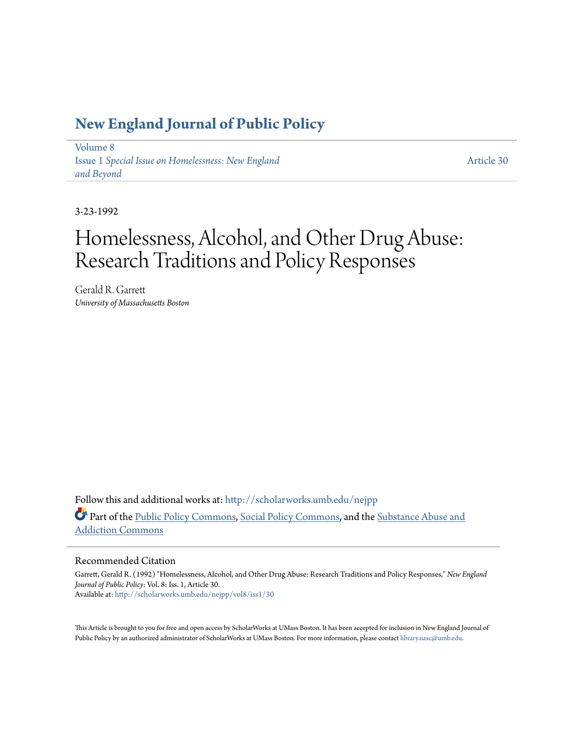# **[New England Journal of Public Policy](http://scholarworks.umb.edu/nejpp?utm_source=scholarworks.umb.edu%2Fnejpp%2Fvol8%2Fiss1%2F30&utm_medium=PDF&utm_campaign=PDFCoverPages)**

[Volume 8](http://scholarworks.umb.edu/nejpp/vol8?utm_source=scholarworks.umb.edu%2Fnejpp%2Fvol8%2Fiss1%2F30&utm_medium=PDF&utm_campaign=PDFCoverPages) Issue 1 *[Special Issue on Homelessness: New England](http://scholarworks.umb.edu/nejpp/vol8/iss1?utm_source=scholarworks.umb.edu%2Fnejpp%2Fvol8%2Fiss1%2F30&utm_medium=PDF&utm_campaign=PDFCoverPages) [and Beyond](http://scholarworks.umb.edu/nejpp/vol8/iss1?utm_source=scholarworks.umb.edu%2Fnejpp%2Fvol8%2Fiss1%2F30&utm_medium=PDF&utm_campaign=PDFCoverPages)*

[Article 30](http://scholarworks.umb.edu/nejpp/vol8/iss1/30?utm_source=scholarworks.umb.edu%2Fnejpp%2Fvol8%2Fiss1%2F30&utm_medium=PDF&utm_campaign=PDFCoverPages)

3-23-1992

# Homelessness, Alcohol, and Other Drug Abuse: Research Traditions and Policy Responses

Gerald R. Garrett *University of Massachusetts Boston*

Follow this and additional works at: [http://scholarworks.umb.edu/nejpp](http://scholarworks.umb.edu/nejpp?utm_source=scholarworks.umb.edu%2Fnejpp%2Fvol8%2Fiss1%2F30&utm_medium=PDF&utm_campaign=PDFCoverPages) Part of the [Public Policy Commons,](http://network.bepress.com/hgg/discipline/400?utm_source=scholarworks.umb.edu%2Fnejpp%2Fvol8%2Fiss1%2F30&utm_medium=PDF&utm_campaign=PDFCoverPages) [Social Policy Commons,](http://network.bepress.com/hgg/discipline/1030?utm_source=scholarworks.umb.edu%2Fnejpp%2Fvol8%2Fiss1%2F30&utm_medium=PDF&utm_campaign=PDFCoverPages) and the [Substance Abuse and](http://network.bepress.com/hgg/discipline/710?utm_source=scholarworks.umb.edu%2Fnejpp%2Fvol8%2Fiss1%2F30&utm_medium=PDF&utm_campaign=PDFCoverPages) [Addiction Commons](http://network.bepress.com/hgg/discipline/710?utm_source=scholarworks.umb.edu%2Fnejpp%2Fvol8%2Fiss1%2F30&utm_medium=PDF&utm_campaign=PDFCoverPages)

## Recommended Citation

Garrett, Gerald R. (1992) "Homelessness, Alcohol, and Other Drug Abuse: Research Traditions and Policy Responses," *New England Journal of Public Policy*: Vol. 8: Iss. 1, Article 30. Available at: [http://scholarworks.umb.edu/nejpp/vol8/iss1/30](http://scholarworks.umb.edu/nejpp/vol8/iss1/30?utm_source=scholarworks.umb.edu%2Fnejpp%2Fvol8%2Fiss1%2F30&utm_medium=PDF&utm_campaign=PDFCoverPages)

This Article is brought to you for free and open access by ScholarWorks at UMass Boston. It has been accepted for inclusion in New England Journal of Public Policy by an authorized administrator of ScholarWorks at UMass Boston. For more information, please contact [library.uasc@umb.edu](mailto:library.uasc@umb.edu).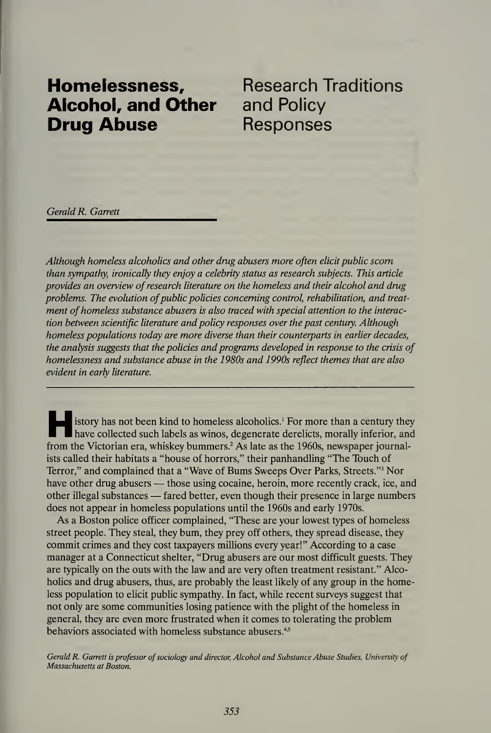# **Homelessness, Research Traditions** Alcohol, and Other and Policy Drug Abuse Responses

Gerald R. Garrett

Although homeless alcoholics and other drug abusers more often elicit public scorn than sympathy, ironically they enjoy a celebrity status as research subjects. This article provides an overview ofresearch literature on the homeless and their alcohol and drug problems. The evolution of public policies concerning control, rehabilitation, and treatment of homeless substance abusers is also traced with special attention to the interaction between scientific literature and policy responses over the past century. Although homeless populations today are more diverse than their counterparts in earlier decades, the analysis suggests that the policies and programs developed in response to the crisis of homeiessness and substance abuse in the 1980s and 1990s reflect themes that are also evident in early literature.

istory has not been kind to homeless alcoholics.<sup>1</sup> For more than a century they have collected such labels as winos, degenerate derelicts, morally inferior, and from the Victorian era, whiskey bummers.<sup>2</sup> As late as the 1960s, newspaper journalists called their habitats a "house of horrors," their panhandling "The Touch of Terror," and complained that a "Wave of Bums Sweeps Over Parks, Streets."<sup>3</sup> Nor have other drug abusers — those using cocaine, heroin, more recently crack, ice, and other illegal substances —fared better, even though their presence in large numbers does not appear in homeless populations until the 1960s and early 1970s.

As a Boston police officer complained, "These are your lowest types of homeless street people. They steal, they bum, they prey off others, they spread disease, they commit crimes and they cost taxpayers millions every year!" According to a case manager at a Connecticut shelter, "Drug abusers are our most difficult guests. They are typically on the outs with the law and are very often treatment resistant." Alcoholics and drug abusers, thus, are probably the least likely of any group in the homeless population to elicit public sympathy. In fact, while recent surveys suggest that not only are some communities losing patience with the plight of the homeless in general, they are even more frustrated when it comes to tolerating the problem behaviors associated with homeless substance abusers.<sup>4,5</sup>

Gerald R. Garrett is professor of sociology and director, Alcohol and Substance Abuse Studies, University of Massachusetts at Boston.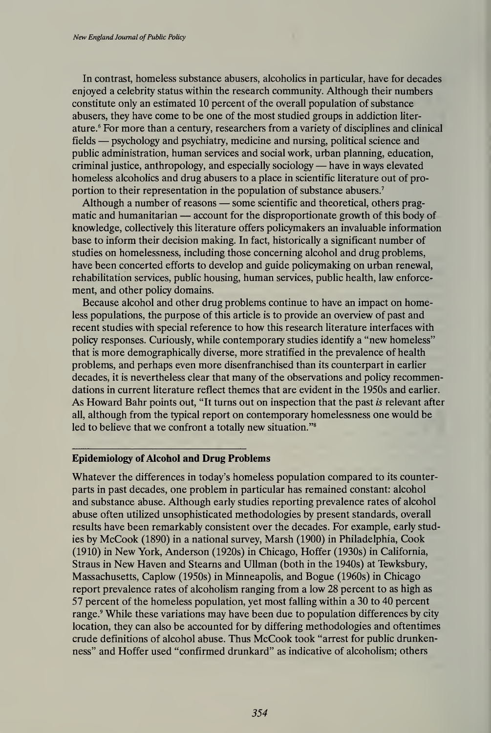In contrast, homeless substance abusers, alcoholics in particular, have for decades enjoyed a celebrity status within the research community. Although their numbers constitute only an estimated 10 percent of the overall population of substance abusers, they have come to be one of the most studied groups in addiction liter ature.<sup>6</sup> For more than a century, researchers from a variety of disciplines and clinical fields —psychology and psychiatry, medicine and nursing, political science and public administration, human services and social work, urban planning, education, criminal justice, anthropology, and especially sociology — have in ways elevated homeless alcoholics and drug abusers to a place in scientific literature out of pro portion to their representation in the population of substance abusers.<sup>7</sup>

Although <sup>a</sup> number of reasons — some scientific and theoretical, others prag matic and humanitarian — account for the disproportionate growth of this body of knowledge, collectively this literature offers policymakers an invaluable information base to inform their decision making. In fact, historically a significant number of studies on homelessness, including those concerning alcohol and drug problems, have been concerted efforts to develop and guide policymaking on urban renewal, rehabilitation services, public housing, human services, public health, law enforcement, and other policy domains.

Because alcohol and other drug problems continue to have an impact on homeless populations, the purpose of this article is to provide an overview of past and recent studies with special reference to how this research literature interfaces with policy responses. Curiously, while contemporary studies identify a "new homeless" that is more demographically diverse, more stratified in the prevalence of health problems, and perhaps even more disenfranchised than its counterpart in earlier decades, it is nevertheless clear that many of the observations and policy recommendations in current literature reflect themes that are evident in the 1950s and earlier. As Howard Bahr points out, "It turns out on inspection that the past is relevant after all, although from the typical report on contemporary homelessness one would be led to believe that we confront a totally new situation."<sup>8</sup>

#### Epidemiology of Alcohol and Drug Problems

Whatever the differences in today's homeless population compared to its counterparts in past decades, one problem in particular has remained constant: alcohol and substance abuse. Although early studies reporting prevalence rates of alcohol abuse often utilized unsophisticated methodologies by present standards, overall results have been remarkably consistent over the decades. For example, early studies by McCook (1890) in <sup>a</sup> national survey, Marsh (1900) in Philadelphia, Cook (1910) in New York, Anderson (1920s) in Chicago, Hoffer (1930s) in California, Straus in New Haven and Stearns and Ullman (both in the 1940s) at Tewksbury, Massachusetts, Caplow (1950s) in Minneapolis, and Bogue (1960s) in Chicago report prevalence rates of alcoholism ranging from a low 28 percent to as high as 57 percent of the homeless population, yet most falling within a 30 to 40 percent range. <sup>9</sup> While these variations may have been due to population differences by city location, they can also be accounted for by differing methodologies and oftentimes crude definitions of alcohol abuse. Thus McCook took "arrest for public drunkenness" and Hoffer used "confirmed drunkard" as indicative of alcoholism; others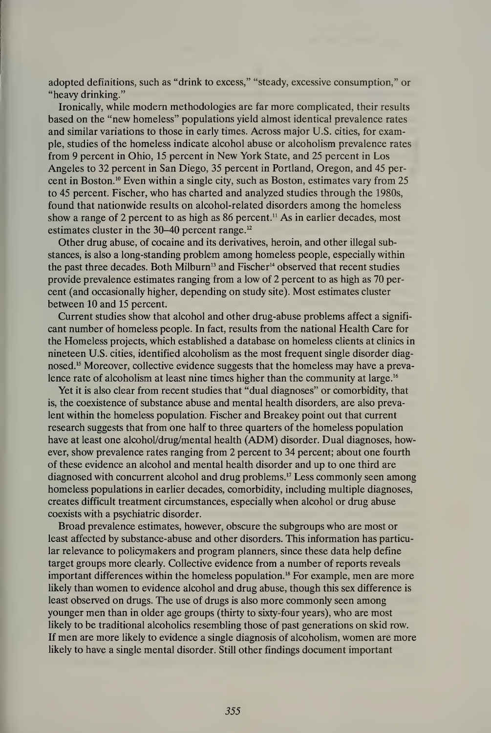adopted definitions, such as "drink to excess," "steady, excessive consumption," or "heavy drinking."

Ironically, while modern methodologies are far more complicated, their results based on the "new homeless" populations yield almost identical prevalence rates and similar variations to those in early times. Across major U.S. cities, for example, studies of the homeless indicate alcohol abuse or alcoholism prevalence rates from <sup>9</sup> percent in Ohio, <sup>15</sup> percent in New York State, and 25 percent in Los Angeles to 32 percent in San Diego, 35 percent in Portland, Oregon, and 45 per cent in Boston. <sup>10</sup> Even within a single city, such as Boston, estimates vary from 25 to 45 percent. Fischer, who has charted and analyzed studies through the 1980s, found that nationwide results on alcohol-related disorders among the homeless show a range of 2 percent to as high as 86 percent.<sup>11</sup> As in earlier decades, most estimates cluster in the 30–40 percent range. $12$ 

Other drug abuse, of cocaine and its derivatives, heroin, and other illegal substances, is also a long-standing problem among homeless people, especially within the past three decades. Both Milburn<sup>13</sup> and Fischer<sup>14</sup> observed that recent studies provide prevalence estimates ranging from a low of 2 percent to as high as 70 per cent (and occasionally higher, depending on study site). Most estimates cluster between 10 and 15 percent.

Current studies show that alcohol and other drug-abuse problems affect a signifi cant number of homeless people. In fact, results from the national Health Care for the Homeless projects, which established a database on homeless clients at clinics in nineteen U.S. cities, identified alcoholism as the most frequent single disorder diagnosed.<sup>15</sup> Moreover, collective evidence suggests that the homeless may have a prevalence rate of alcoholism at least nine times higher than the community at large.<sup>16</sup>

Yet it is also clear from recent studies that "dual diagnoses" or comorbidity, that is, the coexistence of substance abuse and mental health disorders, are also prevalent within the homeless population. Fischer and Breakey point out that current research suggests that from one half to three quarters of the homeless population have at least one alcohol/drug/mental health (ADM) disorder. Dual diagnoses, however, show prevalence rates ranging from 2 percent to 34 percent; about one fourth of these evidence an alcohol and mental health disorder and up to one third are diagnosed with concurrent alcohol and drug problems.<sup>17</sup> Less commonly seen among homeless populations in earlier decades, comorbidity, including multiple diagnoses, creates difficult treatment circumstances, especially when alcohol or drug abuse coexists with a psychiatric disorder.

Broad prevalence estimates, however, obscure the subgroups who are most or least affected by substance-abuse and other disorders. This information has particular relevance to policymakers and program planners, since these data help define target groups more clearly. Collective evidence from a number of reports reveals important differences within the homeless population.<sup>18</sup> For example, men are more likely than women to evidence alcohol and drug abuse, though this sex difference is least observed on drugs. The use of drugs is also more commonly seen among younger men than in older age groups (thirty to sixty-four years), who are most likely to be traditional alcoholics resembling those of past generations on skid row. If men are more likely to evidence <sup>a</sup> single diagnosis of alcoholism, women are more likely to have a single mental disorder. Still other findings document important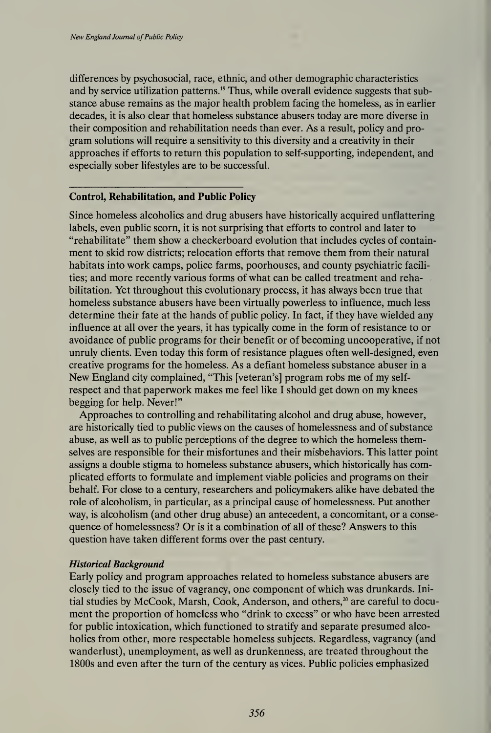differences by psychosocial, race, ethnic, and other demographic characteristics and by service utilization patterns. <sup>19</sup> Thus, while overall evidence suggests that sub stance abuse remains as the major health problem facing the homeless, as in earlier decades, it is also clear that homeless substance abusers today are more diverse in their composition and rehabilitation needs than ever. As a result, policy and pro gram solutions will require a sensitivity to this diversity and a creativity in their approaches if efforts to return this population to self-supporting, independent, and especially sober lifestyles are to be successful.

### Control, Rehabilitation, and Public Policy

Since homeless alcoholics and drug abusers have historically acquired unflattering labels, even public scorn, it is not surprising that efforts to control and later to "rehabilitate" them show a checkerboard evolution that includes cycles of containment to skid row districts; relocation efforts that remove them from their natural habitats into work camps, police farms, poorhouses, and county psychiatric facilities; and more recently various forms of what can be called treatment and rehabilitation. Yet throughout this evolutionary process, it has always been true that homeless substance abusers have been virtually powerless to influence, much less determine their fate at the hands of public policy. In fact, if they have wielded any influence at all over the years, it has typically come in the form of resistance to or avoidance of public programs for their benefit or of becoming uncooperative, if not unruly clients. Even today this form of resistance plagues often well-designed, even creative programs for the homeless. As a defiant homeless substance abuser in a New England city complained, "This [veteran's] program robs me of my self respect and that paperwork makes me feel like <sup>I</sup> should get down on my knees begging for help. Never!"

Approaches to controlling and rehabilitating alcohol and drug abuse, however, are historically tied to public views on the causes of homelessness and of substance abuse, as well as to public perceptions of the degree to which the homeless themselves are responsible for their misfortunes and their misbehaviors. This latter point assigns a double stigma to homeless substance abusers, which historically has complicated efforts to formulate and implement viable policies and programs on their behalf. For close to a century, researchers and policymakers alike have debated the role of alcoholism, in particular, as a principal cause of homelessness. Put another way, is alcoholism (and other drug abuse) an antecedent, a concomitant, or a conse quence of homelessness? Or is it a combination of all of these? Answers to this question have taken different forms over the past century.

## Historical Background

Early policy and program approaches related to homeless substance abusers are closely tied to the issue of vagrancy, one component of which was drunkards. Initial studies by McCook, Marsh, Cook, Anderson, and others,<sup>20</sup> are careful to document the proportion of homeless who "drink to excess" or who have been arrested for public intoxication, which functioned to stratify and separate presumed alco holics from other, more respectable homeless subjects. Regardless, vagrancy (and wanderlust), unemployment, as well as drunkenness, are treated throughout the 1800s and even after the turn of the century as vices. Public policies emphasized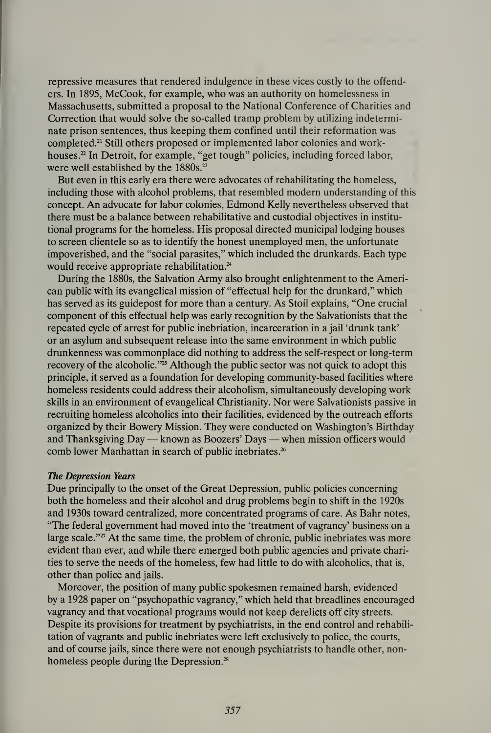repressive measures that rendered indulgence in these vices costly to the offenders. In 1895, McCook, for example, who was an authority on homelessness in Massachusetts, submitted a proposal to the National Conference of Charities and Correction that would solve the so-called tramp problem by utilizing indetermi nate prison sentences, thus keeping them confined until their reformation was completed.<sup>21</sup> Still others proposed or implemented labor colonies and workhouses.<sup>22</sup> In Detroit, for example, "get tough" policies, including forced labor, were well established by the 1880s.<sup>23</sup>

But even in this early era there were advocates of rehabilitating the homeless, including those with alcohol problems, that resembled modern understanding of this concept. An advocate for labor colonies, Edmond Kelly nevertheless observed that there must be a balance between rehabilitative and custodial objectives in institu tional programs for the homeless. His proposal directed municipal lodging houses to screen clientele so as to identify the honest unemployed men, the unfortunate impoverished, and the "social parasites," which included the drunkards. Each type would receive appropriate rehabilitation.<sup>24</sup>

During the 1880s, the Salvation Army also brought enlightenment to the American public with its evangelical mission of "effectual help for the drunkard," which has served as its guidepost for more than a century. As Stoil explains, "One crucial component of this effectual help was early recognition by the Salvationists that the repeated cycle of arrest for public inebriation, incarceration in a jail 'drunk tank' or an asylum and subsequent release into the same environment in which public drunkenness was commonplace did nothing to address the self-respect or long-term recovery of the alcoholic."<sup>25</sup> Although the public sector was not quick to adopt this principle, it served as a foundation for developing community-based facilities where homeless residents could address their alcoholism, simultaneously developing work skills in an environment of evangelical Christianity. Nor were Salvationists passive in recruiting homeless alcoholics into their facilities, evidenced by the outreach efforts organized by their Bowery Mission. They were conducted on Washington's Birthday and Thanksgiving Day — known as Boozers' Days — when mission officers would comb lower Manhattan in search of public inebriates.<sup>26</sup>

#### The Depression Years

Due principally to the onset of the Great Depression, public policies concerning both the homeless and their alcohol and drug problems begin to shift in the 1920s and 1930s toward centralized, more concentrated programs of care. As Bahr notes, "The federal government had moved into the 'treatment of vagrancy' business on a large scale."<sup>27</sup> At the same time, the problem of chronic, public inebriates was more evident than ever, and while there emerged both public agencies and private charities to serve the needs of the homeless, few had little to do with alcoholics, that is, other than police and jails.

Moreover, the position of many public spokesmen remained harsh, evidenced by a 1928 paper on "psychopathic vagrancy," which held that breadlines encouraged vagrancy and that vocational programs would not keep derelicts off city streets. Despite its provisions for treatment by psychiatrists, in the end control and rehabili tation of vagrants and public inebriates were left exclusively to police, the courts, and of course jails, since there were not enough psychiatrists to handle other, non homeless people during the Depression.<sup>28</sup>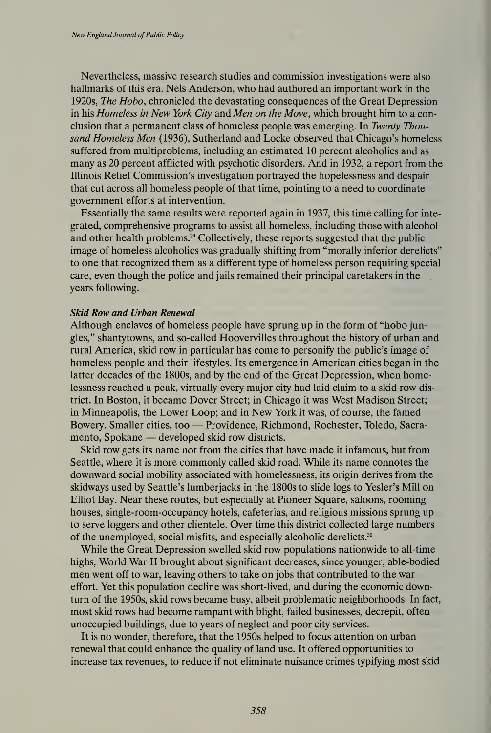Nevertheless, massive research studies and commission investigations were also hallmarks of this era. Nels Anderson, who had authored an important work in the 1920s, The Hobo, chronicled the devastating consequences of the Great Depression in his Homeless in New York City and Men on the Move, which brought him to a conclusion that a permanent class of homeless people was emerging. In Twenty Thousand Homeless Men (1936), Sutherland and Locke observed that Chicago's homeless suffered from multiproblems, including an estimated 10 percent alcoholics and as many as 20 percent afflicted with psychotic disorders. And in 1932, a report from the Illinois Relief Commission's investigation portrayed the hopelessness and despair that cut across all homeless people of that time, pointing to a need to coordinate government efforts at intervention.

Essentially the same results were reported again in 1937, this time calling for inte grated, comprehensive programs to assist all homeless, including those with alcohol and other health problems.<sup>29</sup> Collectively, these reports suggested that the public image of homeless alcoholics was gradually shifting from "morally inferior derelicts" to one that recognized them as a different type of homeless person requiring special care, even though the police and jails remained their principal caretakers in the years following.

#### Skid Row and Urban Renewal

Although enclaves of homeless people have sprung up in the form of "hobo jungles," shantytowns, and so-called Hoovervilles throughout the history of urban and rural America, skid row in particular has come to personify the public's image of homeless people and their lifestyles. Its emergence in American cities began in the latter decades of the 1800s, and by the end of the Great Depression, when homelessness reached a peak, virtually every major city had laid claim to a skid row district. In Boston, it became Dover Street; in Chicago it was West Madison Street; in Minneapolis, the Lower Loop; and in New York it was, of course, the famed Bowery. Smaller cities, too — Providence, Richmond, Rochester, Toledo, Sacra mento, Spokane — developed skid row districts.

Skid row gets its name not from the cities that have made it infamous, but from Seattle, where it is more commonly called skid road. While its name connotes the downward social mobility associated with homelessness, its origin derives from the skidways used by Seattle's lumberjacks in the 1800s to slide logs to Yesler's Mill on Elliot Bay. Near these routes, but especially at Pioneer Square, saloons, rooming houses, single-room-occupancy hotels, cafeterias, and religious missions sprung up to serve loggers and other clientele. Over time this district collected large numbers of the unemployed, social misfits, and especially alcoholic derelicts.<sup>30</sup>

While the Great Depression swelled skid row populations nationwide to all-time highs, World War II brought about significant decreases, since younger, able-bodied men went off to war, leaving others to take on jobs that contributed to the war effort. Yet this population decline was short-lived, and during the economic downturn of the 1950s, skid rows became busy, albeit problematic neighborhoods. In fact, most skid rows had become rampant with blight, failed businesses, decrepit, often unoccupied buildings, due to years of neglect and poor city services.

It is no wonder, therefore, that the 1950s helped to focus attention on urban renewal that could enhance the quality of land use. It offered opportunities to increase tax revenues, to reduce if not eliminate nuisance crimes typifying most skid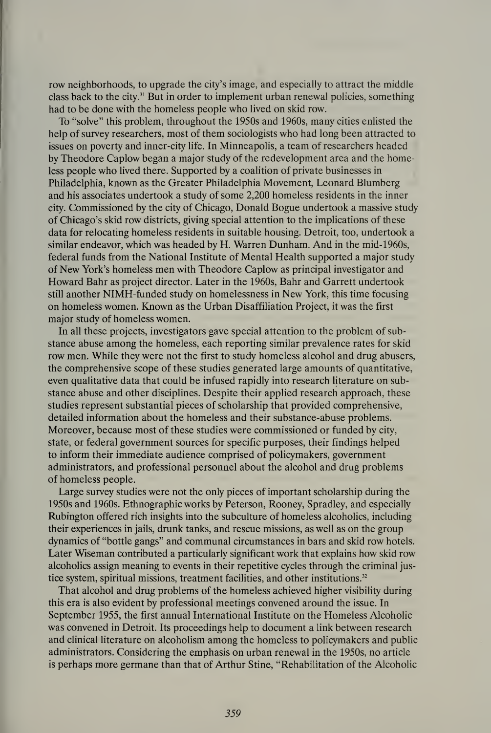row neighborhoods, to upgrade the city's image, and especially to attract the middle class back to the city. <sup>31</sup> But in order to implement urban renewal policies, something had to be done with the homeless people who lived on skid row.

To "solve" this problem, throughout the 1950s and 1960s, many cities enlisted the help of survey researchers, most of them sociologists who had long been attracted to issues on poverty and inner-city life. In Minneapolis, a team of researchers headed by Theodore Caplow began a major study of the redevelopment area and the homeless people who lived there. Supported by a coalition of private businesses in Philadelphia, known as the Greater Philadelphia Movement, Leonard Blumberg and his associates undertook a study of some 2,200 homeless residents in the inner city. Commissioned by the city of Chicago, Donald Bogue undertook a massive study of Chicago's skid row districts, giving special attention to the implications of these data for relocating homeless residents in suitable housing. Detroit, too, undertook a similar endeavor, which was headed by H. Warren Dunham. And in the mid-1960s, federal funds from the National Institute of Mental Health supported a major study of New York's homeless men with Theodore Caplow as principal investigator and Howard Bahr as project director. Later in the 1960s, Bahr and Garrett undertook still another NIMH-funded study on homelessness in New York, this time focusing on homeless women. Known as the Urban Disaffiliation Project, it was the first major study of homeless women.

In all these projects, investigators gave special attention to the problem of sub stance abuse among the homeless, each reporting similar prevalence rates for skid row men. While they were not the first to study homeless alcohol and drug abusers, the comprehensive scope of these studies generated large amounts of quantitative, even qualitative data that could be infused rapidly into research literature on sub stance abuse and other disciplines. Despite their applied research approach, these studies represent substantial pieces of scholarship that provided comprehensive, detailed information about the homeless and their substance-abuse problems. Moreover, because most of these studies were commissioned or funded by city, state, or federal government sources for specific purposes, their findings helped to inform their immediate audience comprised of policymakers, government administrators, and professional personnel about the alcohol and drug problems of homeless people.

Large survey studies were not the only pieces of important scholarship during the 1950s and 1960s. Ethnographic works by Peterson, Rooney, Spradley, and especially Rubington offered rich insights into the subculture of homeless alcoholics, including their experiences in jails, drunk tanks, and rescue missions, as well as on the group dynamics of "bottle gangs" and communal circumstances in bars and skid row hotels. Later Wiseman contributed a particularly significant work that explains how skid row alcoholics assign meaning to events in their repetitive cycles through the criminal justice system, spiritual missions, treatment facilities, and other institutions.<sup>32</sup>

That alcohol and drug problems of the homeless achieved higher visibility during this era is also evident by professional meetings convened around the issue. In September 1955, the first annual International Institute on the Homeless Alcoholic was convened in Detroit. Its proceedings help to document a link between research and clinical literature on alcoholism among the homeless to policymakers and public administrators. Considering the emphasis on urban renewal in the 1950s, no article is perhaps more germane than that of Arthur Stine, "Rehabilitation of the Alcoholic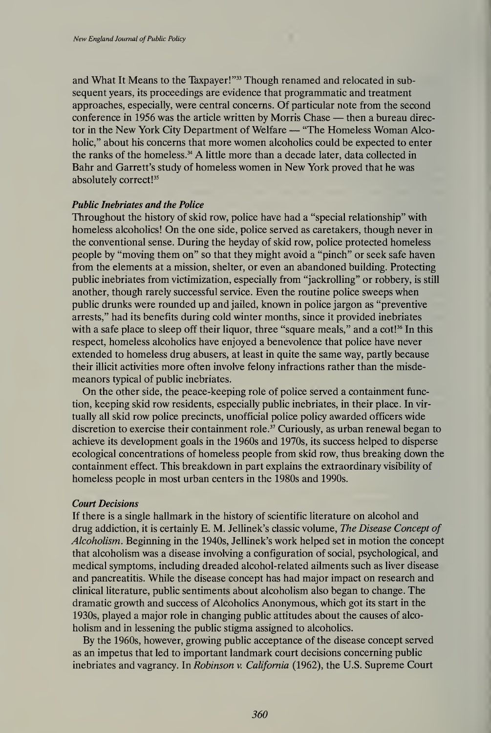and What It Means to the Taxpayer!"33 Though renamed and relocated in subsequent years, its proceedings are evidence that programmatic and treatment approaches, especially, were central concerns. Of particular note from the second conference in <sup>1956</sup> was the article written by Morris Chase — then <sup>a</sup> bureau direc tor in the New York City Department of Welfare — "The Homeless Woman Alcoholic," about his concerns that more women alcoholics could be expected to enter the ranks of the homeless.<sup>34</sup> A little more than a decade later, data collected in Bahr and Garrett's study of homeless women in New York proved that he was absolutely correct!<sup>35</sup>

#### Public Inebriates and the Police

Throughout the history of skid row, police have had a "special relationship" with homeless alcoholics! On the one side, police served as caretakers, though never in the conventional sense. During the heyday of skid row, police protected homeless people by "moving them on" so that they might avoid a "pinch" or seek safe haven from the elements at a mission, shelter, or even an abandoned building. Protecting public inebriates from victimization, especially from "jackrolling" or robbery, is still another, though rarely successful service. Even the routine police sweeps when public drunks were rounded up and jailed, known in police jargon as "preventive arrests," had its benefits during cold winter months, since it provided inebriates with a safe place to sleep off their liquor, three "square meals," and a cot!<sup>36</sup> In this respect, homeless alcoholics have enjoyed a benevolence that police have never extended to homeless drug abusers, at least in quite the same way, partly because their illicit activities more often involve felony infractions rather than the misde meanors typical of public inebriates.

On the other side, the peace-keeping role of police served <sup>a</sup> containment function, keeping skid row residents, especially public inebriates, in their place. In vir tually all skid row police precincts, unofficial police policy awarded officers wide discretion to exercise their containment role.<sup>37</sup> Curiously, as urban renewal began to achieve its development goals in the 1960s and 1970s, its success helped to disperse ecological concentrations of homeless people from skid row, thus breaking down the containment effect. This breakdown in part explains the extraordinary visibility of homeless people in most urban centers in the 1980s and 1990s.

#### Court Decisions

If there is a single hallmark in the history of scientific literature on alcohol and drug addiction, it is certainly E. M. Jellinek's classic volume, The Disease Concept of Alcoholism. Beginning in the 1940s, Jellinek's work helped set in motion the concept that alcoholism was a disease involving a configuration of social, psychological, and medical symptoms, including dreaded alcohol-related ailments such as liver disease and pancreatitis. While the disease concept has had major impact on research and clinical literature, public sentiments about alcoholism also began to change. The dramatic growth and success of Alcoholics Anonymous, which got its start in the 1930s, played a major role in changing public attitudes about the causes of alco holism and in lessening the public stigma assigned to alcoholics.

By the 1960s, however, growing public acceptance of the disease concept served as an impetus that led to important landmark court decisions concerning public inebriates and vagrancy. In Robinson v. California (1962), the U.S. Supreme Court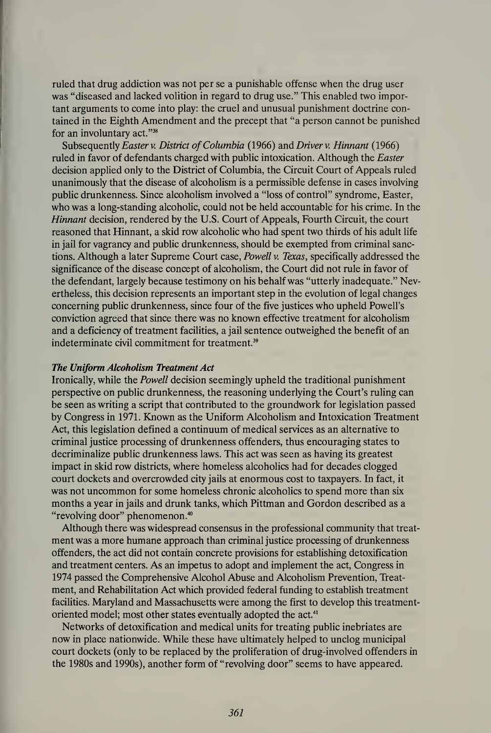ruled that drug addiction was not per se a punishable offense when the drug user was "diseased and lacked volition in regard to drug use." This enabled two important arguments to come into play: the cruel and unusual punishment doctrine contained in the Eighth Amendment and the precept that "a person cannot be punished for an involuntary act." 38

Subsequently Easter v. District of Columbia (1966) and Driver v. Hinnant (1966) ruled in favor of defendants charged with public intoxication. Although the Easter decision applied only to the District of Columbia, the Circuit Court of Appeals ruled unanimously that the disease of alcoholism is a permissible defense in cases involving public drunkenness. Since alcoholism involved a "loss of control" syndrome, Easter, who was a long-standing alcoholic, could not be held accountable for his crime. In the Hinnant decision, rendered by the U.S. Court of Appeals, Fourth Circuit, the court reasoned that Hinnant, a skid row alcoholic who had spent two thirds of his adult life in jail for vagrancy and public drunkenness, should be exempted from criminal sanctions. Although a later Supreme Court case, Powell v. Texas, specifically addressed the significance of the disease concept of alcoholism, the Court did not rule in favor of the defendant, largely because testimony on his behalf was "utterly inadequate." Nevertheless, this decision represents an important step in the evolution of legal changes concerning public drunkenness, since four of the five justices who upheld Powell's conviction agreed that since there was no known effective treatment for alcoholism and a deficiency of treatment facilities, a jail sentence outweighed the benefit of an indeterminate civil commitment for treatment.<sup>39</sup>

#### The Uniform Alcoholism Treatment Act

Ironically, while the Powell decision seemingly upheld the traditional punishment perspective on public drunkenness, the reasoning underlying the Court's ruling can be seen as writing a script that contributed to the groundwork for legislation passed by Congress in 1971. Known as the Uniform Alcoholism and Intoxication Treatment Act, this legislation defined a continuum of medical services as an alternative to criminal justice processing of drunkenness offenders, thus encouraging states to decriminalize public drunkenness laws. This act was seen as having its greatest impact in skid row districts, where homeless alcoholics had for decades clogged court dockets and overcrowded city jails at enormous cost to taxpayers. In fact, it was not uncommon for some homeless chronic alcoholics to spend more than six months a year in jails and drunk tanks, which Pittman and Gordon described as a "revolving door" phenomenon.<sup>40</sup>

Although there was widespread consensus in the professional community that treat ment was a more humane approach than criminal justice processing of drunkenness offenders, the act did not contain concrete provisions for establishing detoxification and treatment centers. As an impetus to adopt and implement the act, Congress in 1974 passed the Comprehensive Alcohol Abuse and Alcoholism Prevention, Treat ment, and Rehabilitation Act which provided federal funding to establish treatment facilities. Maryland and Massachusetts were among the first to develop this treatmentoriented model; most other states eventually adopted the act. 41

Networks of detoxification and medical units for treating public inebriates are now in place nationwide. While these have ultimately helped to unclog municipal court dockets (only to be replaced by the proliferation of drug-involved offenders in the 1980s and 1990s), another form of "revolving door" seems to have appeared.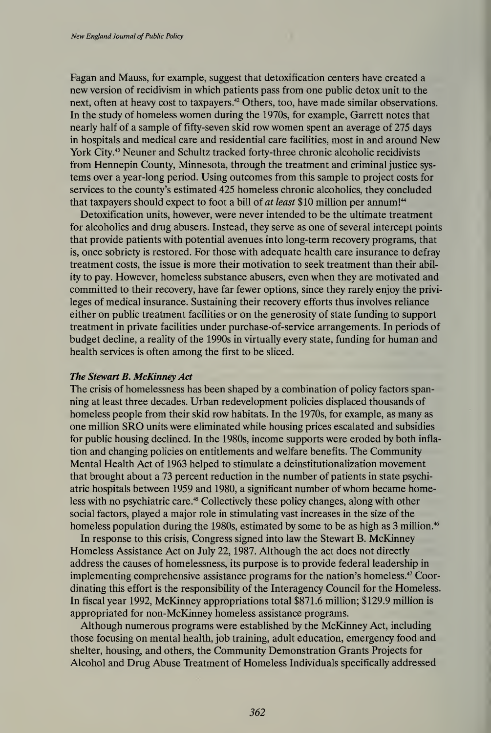Fagan and Mauss, for example, suggest that detoxification centers have created a new version of recidivism in which patients pass from one public detox unit to the next, often at heavy cost to taxpayers.<sup>42</sup> Others, too, have made similar observations. In the study of homeless women during the 1970s, for example, Garrett notes that nearly half of a sample of fifty-seven skid row women spent an average of 275 days in hospitals and medical care and residential care facilities, most in and around New York City.<sup>43</sup> Neuner and Schultz tracked forty-three chronic alcoholic recidivists from Hennepin County, Minnesota, through the treatment and criminal justice sys tems over a year-long period. Using outcomes from this sample to project costs for services to the county's estimated 425 homeless chronic alcoholics, they concluded that taxpayers should expect to foot a bill of *at least* \$10 million per annum!<sup>44</sup>

Detoxification units, however, were never intended to be the ultimate treatment for alcoholics and drug abusers. Instead, they serve as one of several intercept points that provide patients with potential avenues into long-term recovery programs, that is, once sobriety is restored. For those with adequate health care insurance to defray treatment costs, the issue is more their motivation to seek treatment than their ability to pay. However, homeless substance abusers, even when they are motivated and committed to their recovery, have far fewer options, since they rarely enjoy the privileges of medical insurance. Sustaining their recovery efforts thus involves reliance either on public treatment facilities or on the generosity of state funding to support treatment in private facilities under purchase-of-service arrangements. In periods of budget decline, a reality of the 1990s in virtually every state, funding for human and health services is often among the first to be sliced.

#### The Stewart B. McKinney Act

The crisis of homelessness has been shaped by a combination of policy factors span ning at least three decades. Urban redevelopment policies displaced thousands of homeless people from their skid row habitats. In the 1970s, for example, as many as one million SRO units were eliminated while housing prices escalated and subsidies for public housing declined. In the 1980s, income supports were eroded by both infla tion and changing policies on entitlements and welfare benefits. The Community Mental Health Act of 1963 helped to stimulate a deinstitutionalization movement that brought about a 73 percent reduction in the number of patients in state psychiatric hospitals between 1959 and 1980, <sup>a</sup> significant number of whom became homeless with no psychiatric care. <sup>45</sup> Collectively these policy changes, along with other social factors, played a major role in stimulating vast increases in the size of the homeless population during the 1980s, estimated by some to be as high as 3 million.<sup>46</sup>

In response to this crisis, Congress signed into law the Stewart B. McKinney Homeless Assistance Act on July 22, 1987. Although the act does not directly address the causes of homelessness, its purpose is to provide federal leadership in implementing comprehensive assistance programs for the nation's homeless.<sup>47</sup> Coordinating this effort is the responsibility of the Interagency Council for the Homeless. In fiscal year 1992, McKinney appropriations total \$871.6 million; \$129.9 million is appropriated for non-McKinney homeless assistance programs.

Although numerous programs were established by the McKinney Act, including those focusing on mental health, job training, adult education, emergency food and shelter, housing, and others, the Community Demonstration Grants Projects for Alcohol and Drug Abuse Treatment of Homeless Individuals specifically addressed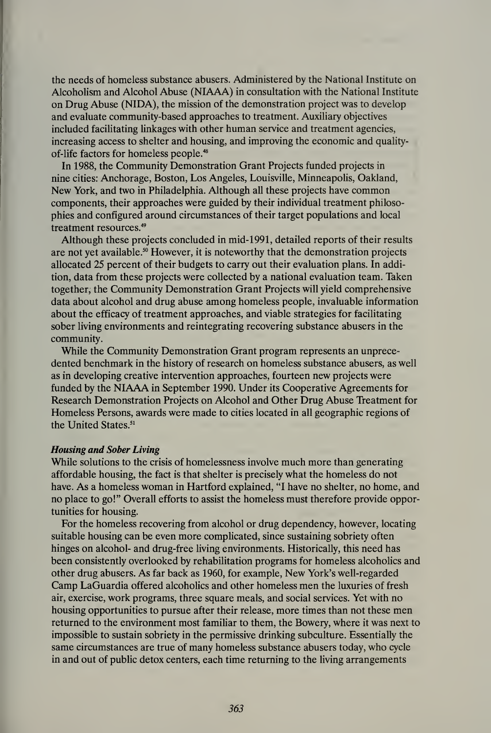the needs of homeless substance abusers. Administered by the National Institute on Alcoholism and Alcohol Abuse (NIAAA) in consultation with the National Institute on Drug Abuse (NIDA), the mission of the demonstration project was to develop and evaluate community-based approaches to treatment. Auxiliary objectives included facilitating linkages with other human service and treatment agencies, increasing access to shelter and housing, and improving the economic and qualityof-life factors for homeless people.<sup>48</sup>

In 1988, the Community Demonstration Grant Projects funded projects in nine cities: Anchorage, Boston, Los Angeles, Louisville, Minneapolis, Oakland, New York, and two in Philadelphia. Although all these projects have common components, their approaches were guided by their individual treatment philosophies and configured around circumstances of their target populations and local treatment resources. 49

Although these projects concluded in mid- 1991, detailed reports of their results are not yet available.<sup>50</sup> However, it is noteworthy that the demonstration projects allocated 25 percent of their budgets to carry out their evaluation plans. In addition, data from these projects were collected by a national evaluation team. Taken together, the Community Demonstration Grant Projects will yield comprehensive data about alcohol and drug abuse among homeless people, invaluable information about the efficacy of treatment approaches, and viable strategies for facilitating sober living environments and reintegrating recovering substance abusers in the community.

While the Community Demonstration Grant program represents an unprecedented benchmark in the history of research on homeless substance abusers, as well as in developing creative intervention approaches, fourteen new projects were funded by the NIAAA in September 1990. Under its Cooperative Agreements for Research Demonstration Projects on Alcohol and Other Drug Abuse Treatment for Homeless Persons, awards were made to cities located in all geographic regions of the United States.<sup>51</sup>

#### Housing and Sober Living

While solutions to the crisis of homelessness involve much more than generating affordable housing, the fact is that shelter is precisely what the homeless do not have. As a homeless woman in Hartford explained, "I have no shelter, no home, and no place to go!" Overall efforts to assist the homeless must therefore provide opportunities for housing.

For the homeless recovering from alcohol or drug dependency, however, locating suitable housing can be even more complicated, since sustaining sobriety often hinges on alcohol- and drug-free living environments. Historically, this need has been consistently overlooked by rehabilitation programs for homeless alcoholics and other drug abusers. As far back as 1960, for example, New York's well-regarded Camp LaGuardia offered alcoholics and other homeless men the luxuries of fresh air, exercise, work programs, three square meals, and social services. Yet with no housing opportunities to pursue after their release, more times than not these men returned to the environment most familiar to them, the Bowery, where it was next to impossible to sustain sobriety in the permissive drinking subculture. Essentially the same circumstances are true of many homeless substance abusers today, who cycle in and out of public detox centers, each time returning to the living arrangements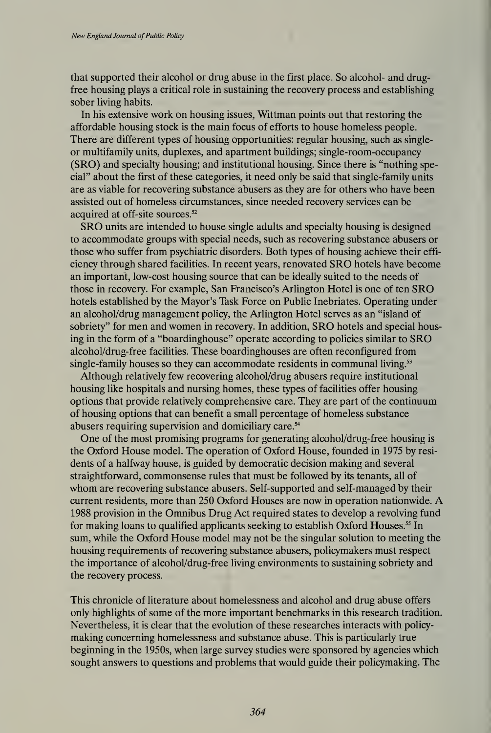that supported their alcohol or drug abuse in the first place. So alcohol- and drugfree housing plays a critical role in sustaining the recovery process and establishing sober living habits.

In his extensive work on housing issues, Wittman points out that restoring the affordable housing stock is the main focus of efforts to house homeless people. There are different types of housing opportunities: regular housing, such as single or multifamily units, duplexes, and apartment buildings; single-room-occupancy (SRO) and specialty housing; and institutional housing. Since there is "nothing special" about the first of these categories, it need only be said that single-family units are as viable for recovering substance abusers as they are for others who have been assisted out of homeless circumstances, since needed recovery services can be acquired at off-site sources. 52

SRO units are intended to house single adults and specialty housing is designed to accommodate groups with special needs, such as recovering substance abusers or those who suffer from psychiatric disorders. Both types of housing achieve their effi ciency through shared facilities. In recent years, renovated SRO hotels have become an important, low-cost housing source that can be ideally suited to the needs of those in recovery. For example, San Francisco's Arlington Hotel is one of ten SRO hotels established by the Mayor's Task Force on Public Inebriates. Operating under an alcohol/drug management policy, the Arlington Hotel serves as an "island of sobriety" for men and women in recovery. In addition, SRO hotels and special housing in the form of <sup>a</sup> "boardinghouse" operate according to policies similar to SRO alcohol/drug-free facilities. These boardinghouses are often reconfigured from single-family houses so they can accommodate residents in communal living.<sup>53</sup>

Although relatively few recovering alcohol/drug abusers require institutional housing like hospitals and nursing homes, these types of facilities offer housing options that provide relatively comprehensive care. They are part of the continuum of housing options that can benefit a small percentage of homeless substance abusers requiring supervision and domiciliary care. 54

One of the most promising programs for generating alcohol/drug-free housing is the Oxford House model. The operation of Oxford House, founded in 1975 by resi dents of a halfway house, is guided by democratic decision making and several straightforward, commonsense rules that must be followed by its tenants, all of whom are recovering substance abusers. Self-supported and self-managed by their current residents, more than <sup>250</sup> Oxford Houses are now in operation nationwide. A 1988 provision in the Omnibus Drug Act required states to develop a revolving fund for making loans to qualified applicants seeking to establish Oxford Houses.<sup>55</sup> In sum, while the Oxford House model may not be the singular solution to meeting the housing requirements of recovering substance abusers, policymakers must respect the importance of alcohol/drug-free living environments to sustaining sobriety and the recovery process.

This chronicle of literature about homelessness and alcohol and drug abuse offers only highlights of some of the more important benchmarks in this research tradition. Nevertheless, it is clear that the evolution of these researches interacts with policymaking concerning homelessness and substance abuse. This is particularly true beginning in the 1950s, when large survey studies were sponsored by agencies which sought answers to questions and problems that would guide their policymaking. The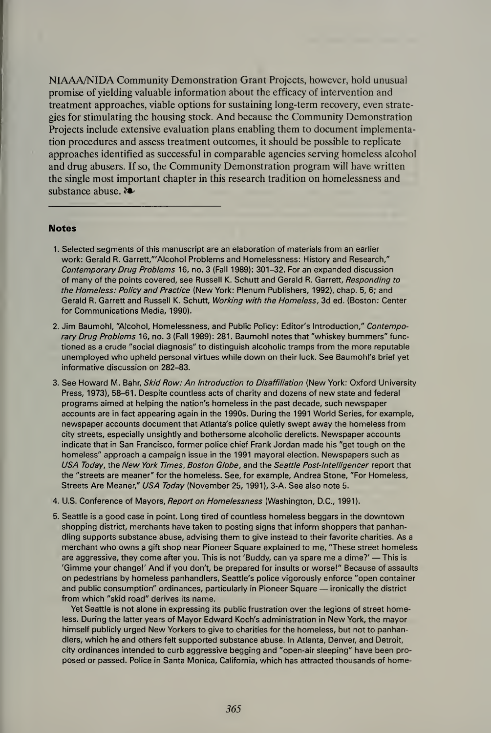NIAAA/NIDA Community Demonstration Grant Projects, however, hold unusual promise of yielding valuable information about the efficacy of intervention and treatment approaches, viable options for sustaining long-term recovery, even strate gies for stimulating the housing stock. And because the Community Demonstration Projects include extensive evaluation plans enabling them to document implementation procedures and assess treatment outcomes, it should be possible to replicate approaches identified as successful in comparable agencies serving homeless alcohol and drug abusers. If so, the Community Demonstration program will have written the single most important chapter in this research tradition on homelessness and substance abuse.  $\delta$ 

#### **Notes**

- 1. Selected segments of this manuscript are an elaboration of materials from an earlier work: Gerald R. Garrett,"'Alcohol Problems and Homelessness: History and Research," Contemporary Drug Problems 16, no. 3 (Fall 1989): 301-32. For an expanded discussion of many of the points covered, see Russell K. Schutt and Gerald R. Garrett, Responding to the Homeless: Policy and Practice (New York: Plenum Publishers, 1992), chap. 5, 6; and Gerald R. Garrett and Russell K. Schutt, Working with the Homeless, 3d ed. (Boston: Center for Communications Media, 1990).
- 2. Jim Baumohl, "Alcohol, Homelessness, and Public Policy: Editor's Introduction," Contemporary Drug Problems 16, no. 3 (Fall 1989): 281. Baumohl notes that "whiskey bummers" functioned as a crude "social diagnosis" to distinguish alcoholic tramps from the more reputable unemployed who upheld personal virtues while down on their luck. See Baumohl's brief yet informative discussion on 282-83.
- 3. See Howard M. Bahr, Skid Row: An Introduction to Disaffiliation (New York: Oxford University Press, 1973), 58-61. Despite countless acts of charity and dozens of new state and federal programs aimed at helping the nation's homeless in the past decade, such newspaper accounts are in fact appearing again in the 1990s. During the 1991 World Series, for example, newspaper accounts document that Atlanta's police quietly swept away the homeless from city streets, especially unsightly and bothersome alcoholic derelicts. Newspaper accounts indicate that in San Francisco, former police chief Frank Jordan made his "get tough on the homeless" approach a campaign issue in the 1991 mayoral election. Newspapers such as USA Today, the New York Times, Boston Globe, and the Seattle Post-Intelligencer report that the "streets are meaner" for the homeless. See, for example, Andrea Stone, "For Homeless, Streets Are Meaner," USA Today (November 25, 1991), 3-A. See also note 5.
- 4. U.S. Conference of Mayors, Report on Homelessness (Washington, D.C., 1991).
- 5. Seattle is a good case in point. Long tired of countless homeless beggars in the downtown shopping district, merchants have taken to posting signs that inform shoppers that panhandling supports substance abuse, advising them to give instead to their favorite charities. As a merchant who owns <sup>a</sup> gift shop near Pioneer Square explained to me, "These street homeless are aggressive, they come after you. This is not 'Buddy, can ya spare me <sup>a</sup> dime?' — This is 'Gimme your change!' And if you don't, be prepared for insults or worse!" Because of assaults on pedestrians by homeless panhandlers, Seattle's police vigorously enforce "open container and public consumption" ordinances, particularly in Pioneer Square — ironically the district from which "skid road" derives its name.

Yet Seattle is not alone in expressing its public frustration over the legions of street homeless. During the latter years of Mayor Edward Koch's administration in New York, the mayor himself publicly urged New Yorkers to give to charities for the homeless, but not to panhandlers, which he and others felt supported substance abuse. In Atlanta, Denver, and Detroit, city ordinances intended to curb aggressive begging and "open-air sleeping" have been pro posed or passed. Police in Santa Monica, California, which has attracted thousands of home-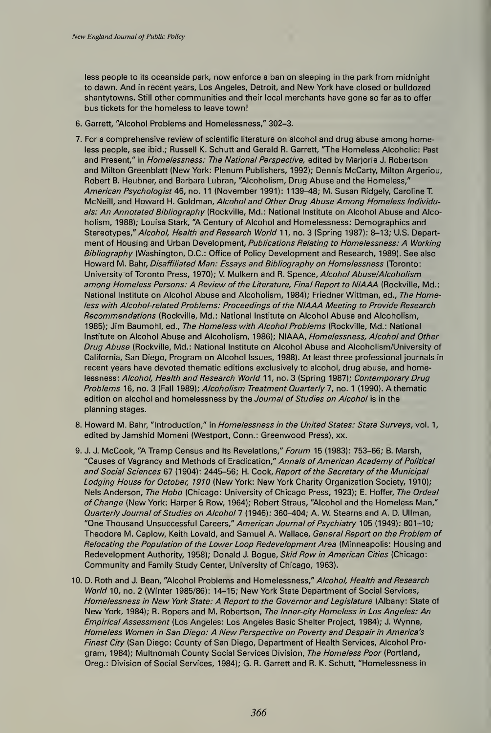less people to its oceanside park, now enforce <sup>a</sup> ban on sleeping in the park from midnight to dawn. And inrecent years, Los Angeles, Detroit, and New York have closed or bulldozed shantytowns. Still other communities and their local merchants have gone so far as to offer bus tickets for the homeless to leave town!

- 6. Garrett, "Alcohol Problems and Homelessness," 302-3.
- 7. For <sup>a</sup> comprehensive review of scientific literature on alcohol and drug abuse among homeless people, see ibid.; Russell K. Schutt and Gerald R. Garrett, "The Homeless Alcoholic: Past and Present," in Homelessness: The National Perspective, edited by Marjorie J. Robertson and Milton Greenblatt (New York: Plenum Publishers, 1992); Dennis McCarty, Milton Argeriou, Robert B. Heubner, and Barbara Lubran, "Alcoholism, Drug Abuse and the Homeless," American Psychologist 46, no. 11 (November 1991): 1139-48; M. Susan Ridgely, Caroline T. McNeill, and Howard H. Goldman, Alcohol and Other Drug Abuse Among Homeless Individuals: An Annotated Bibliography (Rockville, Md.: National Institute on Alcohol Abuse and Alcoholism, 1988); Louisa Stark, "A Century of Alcohol and Homelessness: Demographics and Stereotypes," Alcohol, Health and Research World 11, no. 3 (Spring 1987): 8-13; U.S. Department of Housing and Urban Development, Publications Relating to Homelessness: A Working Bibliography (Washington, D.C.: Office of Policy Development and Research, 1989). See also Howard M. Bahr, Disaffiliated Man: Essays and Bibliography on Homelessness (Toronto: University of Toronto Press, 1970); V. Mulkern and R. Spence, Alcohol Abuse/Alcoholism among Homeless Persons: A Review of the Literature, Final Report to NIAAA (Rockville, Md.: National Institute on Alcohol Abuse and Alcoholism, 1984); Friedner Wittman, ed., The Homeless with Alcohol-related Problems: Proceedings of the NIAAA Meeting to Provide Research Recommendations (Rockville, Md.: National Institute on Alcohol Abuse and Alcoholism, 1985); Jim Baumohl, ed., The Homeless with Alcohol Problems (Rockville, Md.: National Institute on Alcohol Abuse and Alcoholism, 1986); NIAAA, Homelessness, Alcohol and Other Drug Abuse (Rockville, Md.: National Institute on Alcohol Abuse and Alcoholism/University of California, San Diego, Program on Alcohol Issues, 1988). At least three professional journals in recent years have devoted thematic editions exclusively to alcohol, drug abuse, and homelessness: Alcohol, Health and Research World 11, no. 3 (Spring 1987); Contemporary Drug Problems 16, no. 3 (Fall 1989); Alcoholism Treatment Quarterly 7, no. 1 (1990). A thematic edition on alcohol and homelessness by the Journal of Studies on Alcohol is in the planning stages.
- 8. Howard M. Bahr, "Introduction," in Homelessness in the United States: State Surveys, vol. 1, edited by Jamshid Momeni (Westport, Conn.: Greenwood Press), xx.
- 9. J. J. McCook, "A Tramp Census and Its Revelations," Forum 15 (1983): 753-66; B. Marsh, "Causes of Vagrancy and Methods of Eradication," Annals of American Academy of Political and Social Sciences 67 (1904): 2445-56; H. Cook, Report of the Secretary of the Municipal Lodging House for October, 1910 (New York: New York Charity Organization Society, 1910); Nels Anderson, The Hobo (Chicago: University of Chicago Press, 1923); E. Hoffer, The Ordeal of Change (New York: Harper & Row, 1964); Robert Straus, "Alcohol and the Homeless Man," Quarterly Journal of Studies on Alcohol 7 (1946): 360–404; A. W. Stearns and A. D. Ullman, "One Thousand Unsuccessful Careers," American Journal of Psychiatry 105 (1949): 801-10; Theodore M. Caplow, Keith Lovald, and Samuel A. Wallace, General Report on the Problem of Relocating the Population of the Lower Loop Redevelopment Area (Minneapolis: Housing and Redevelopment Authority, 1958); Donald J. Bogue, Skid Row in American Cities (Chicago: Community and Family Study Center, University of Chicago, 1963).
- 10. D. Roth and J. Bean, "Alcohol Problems and Homelessness," Alcohol, Health and Research World 10, no. 2 (Winter 1985/86): 14-15; New York State Department of Social Services, Homelessness in New York State: A Report to the Governor and Legislature (Albany: State of New York, 1984); R. Ropers and M. Robertson, The Inner-city Homeless in Los Angeles: An Empirical Assessment (Los Angeles: Los Angeles Basic Shelter Project, 1984); J. Wynne, Homeless Women in San Diego: A New Perspective on Poverty and Despair in America's Finest City (San Diego: County of San Diego, Department of Health Services, Alcohol Pro gram, 1984); Multnomah County Social Services Division, The Homeless Poor (Portland, Oreg.: Division of Social Services, 1984); G. R. Garrett and R. K. Schutt, "Homelessness in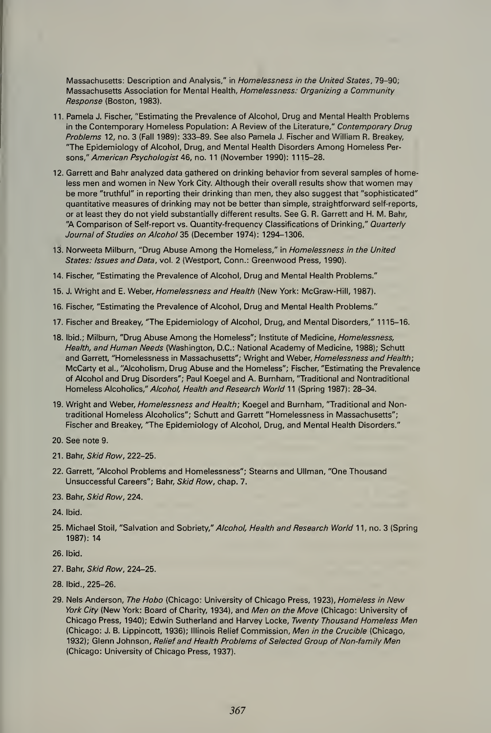Massachusetts: Description and Analysis," in Homelessness in the United States, 79-90; Massachusetts Association for Mental Health, Homelessness: Organizing a Community Response (Boston, 1983).

- 11. Pamela J. Fischer, "Estimating the Prevalence of Alcohol, Drug and Mental Health Problems in the Contemporary Homeless Population: A Review of the Literature," Contemporary Drug Problems 12, no. 3 (Fall 1989): 333-89. See also Pamela J.Fischer and William R. Breakey, "The Epidemiology of Alcohol, Drug, and Mental Health Disorders Among Homeless Per sons," American Psychologist 46, no. 11 (November 1990): 1115-28.
- 12. Garrett and Bahr analyzed data gathered on drinking behavior from several samples of homeless men and women in New York City. Although their overall results show that women may be more "truthful" in reporting their drinking than men, they also suggest that "sophisticated" quantitative measures of drinking may not be better than simple, straightforward self-reports, or at least they do not yield substantially different results. See G. R. Garrett and H. M. Bahr, "A Comparison of Self-report vs. Quantity-frequency Classifications of Drinking," Quarterly Journal of Studies on Alcohol 35 (December 1974): 1294-1306.
- 13. Norweeta Milburn, "Drug Abuse Among the Homeless," in Homelessness in the United States: Issues and Data, vol. 2 (Westport, Conn.: Greenwood Press, 1990).
- 14. Fischer, "Estimating the Prevalence of Alcohol, Drug and Mental Health Problems."
- 15. J. Wright and E. Weber, Homelessness and Health (New York: McGraw-Hill, 1987).
- 16. Fischer, "Estimating the Prevalence of Alcohol, Drug and Mental Health Problems."
- 17. Fischer and Breakey, "The Epidemiology of Alcohol, Drug, and Mental Disorders," <sup>1</sup> 115-16.
- 18. Ibid.; Milburn, "Drug Abuse Among the Homeless"; Institute of Medicine, Homelessness, Health, and Human Needs (Washington, D.C.: National Academy of Medicine, 1988); Schutt and Garrett, "Homelessness in Massachusetts"; Wright and Weber, Homelessness and Health; McCarty et al., "Alcoholism, Drug Abuse and the Homeless"; Fischer, "Estimating the Prevalence of Alcohol and Drug Disorders"; Paul Koegel and A. Burnham, 'Traditional and Nontraditional Homeless Alcoholics," Alcohol, Health and Research World 11 (Spring 1987): 28-34.
- 19. Wright and Weber, Homelessness and Health; Koegel and Burnham, "Traditional and Nontraditional Homeless Alcoholics"; Schutt and Garrett "Homelessness in Massachusetts"; Fischer and Breakey, "The Epidemiology of Alcohol, Drug, and Mental Health Disorders."
- 20. See note 9.
- 21. Bahr, Skid Row, 222-25.
- 22. Garrett, "Alcohol Problems and Homelessness"; Stearns and Ullman, "One Thousand Unsuccessful Careers"; Bahr, Skid Row, chap. 7.
- 23. Bahr, Skid Row, 224.
- 24. Ibid.
- 25. Michael Stoil, "Salvation and Sobriety," Alcohol, Health and Research World 11, no. 3 (Spring 1987): 14
- 26. Ibid.
- 27. Bahr, Skid Row, 224-25.
- 28. Ibid., 225-26.
- 29. Nels Anderson, The Hobo (Chicago: University of Chicago Press, 1923), Homeless in New York City (New York: Board of Charity, 1934), and Men on the Move (Chicago: University of Chicago Press, 1940); Edwin Sutherland and Harvey Locke, Twenty Thousand Homeless Men (Chicago: J. B. Lippincott, 1936); Illinois Relief Commission, Men in the Crucible (Chicago, 1932); Glenn Johnson, Relief and Health Problems of Selected Group of Non-family Men (Chicago: University of Chicago Press, 1937).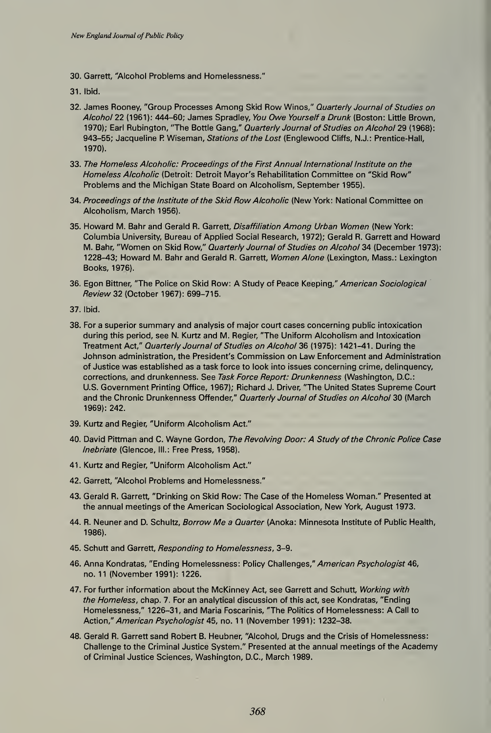30. Garrett, "Alcohol Problems and Homelessness."

31. Ibid.

- 32. James Rooney, "Group Processes Among Skid Row Winos," Quarterly Journal of Studies on Alcohol 22 (1961): 444-60; James Spradley, You Owe Yourself a Drunk (Boston: Little Brown, 1970); Earl Rubington, "The Bottle Gang," Quarterly Journal of Studies on Alcohol 29 (1968): 943-55; Jacqueline P. Wiseman, Stations of the Lost (Englewood Cliffs, N.J.: Prentice-Hall, 1970).
- 33. The Homeless Alcoholic: Proceedings of the First Annual International Institute on the Homeless Alcoholic (Detroit: Detroit Mayor's Rehabilitation Committee on "Skid Row" Problems and the Michigan State Board on Alcoholism, September 1955).
- 34. Proceedings of the Institute of the Skid Row Alcoholic (New York: National Committee on Alcoholism, March 1956).
- 35. Howard M. Bahr and Gerald R. Garrett, Disaffiliation Among Urban Women (New York: Columbia University, Bureau of Applied Social Research, 1972); Gerald R. Garrett and Howard M. Bahr, "Women on Skid Row," Quarterly Journal of Studies on Alcohol 34 (December 1973): 1228-43; Howard M. Bahr and Gerald R. Garrett, Women Alone (Lexington, Mass.: Lexington Books, 1976).
- 36. Egon Bittner, "The Police on Skid Row: A Study of Peace Keeping," American Sociological Review 32 (October 1967): 699-715.
- 37. Ibid.
- 38. For a superior summary and analysis of major court cases concerning public intoxication during this period, see N. Kurtz and M. Regier, "The Uniform Alcoholism and Intoxication Treatment Act," Quarterly Journal of Studies on Alcohol 36 (1975): 1421-41. During the Johnson administration, the President's Commission on Law Enforcement and Administration of Justice was established as a task force to look into issues concerning crime, delinquency, corrections, and drunkenness. See Task Force Report: Drunkenness (Washington, D.C.: U.S. Government Printing Office, 1967); Richard J. Driver, "The United States Supreme Court and the Chronic Drunkenness Offender," Quarterly Journal of Studies on Alcohol 30 (March 1969): 242.
- 39. Kurtz and Regier, "Uniform Alcoholism Act."
- 40. David Pittman and C. Wayne Gordon, The Revolving Door: A Study of the Chronic Police Case Inebriate (Glencoe, III.: Free Press, 1958).
- 41. Kurtz and Regier, "Uniform Alcoholism Act."
- 42. Garrett, "Alcohol Problems and Homelessness."
- 43. Gerald R. Garrett, "Drinking on Skid Row: The Case of the Homeless Woman." Presented at the annual meetings of the American Sociological Association, New York, August 1973.
- 44. R. Neuner and D. Schultz, Borrow Me a Quarter (Anoka: Minnesota Institute of Public Health, 1986).
- 45. Schutt and Garrett, Responding to Homelessness, 3-9.
- 46. Anna Kondratas, "Ending Homelessness: Policy Challenges," American Psychologist 46, no. 11 (November 1991): 1226.
- 47. For further information about the McKinney Act, see Garrett and Schutt, Working with the Homeless, chap. 7. For an analytical discussion of this act, see Kondratas, "Ending Homelessness," 1226-31, and Maria Foscarinis, "The Politics of Homelessness: A Call to Action," American Psychologist 45, no. 11 (November 1991): 1232-38.
- 48. Gerald R. Garrett sand Robert B. Heubner, "Alcohol, Drugs and the Crisis of Homelessness: Challenge to the Criminal Justice System." Presented at the annual meetings of the Academy of Criminal Justice Sciences, Washington, D.C., March 1989.